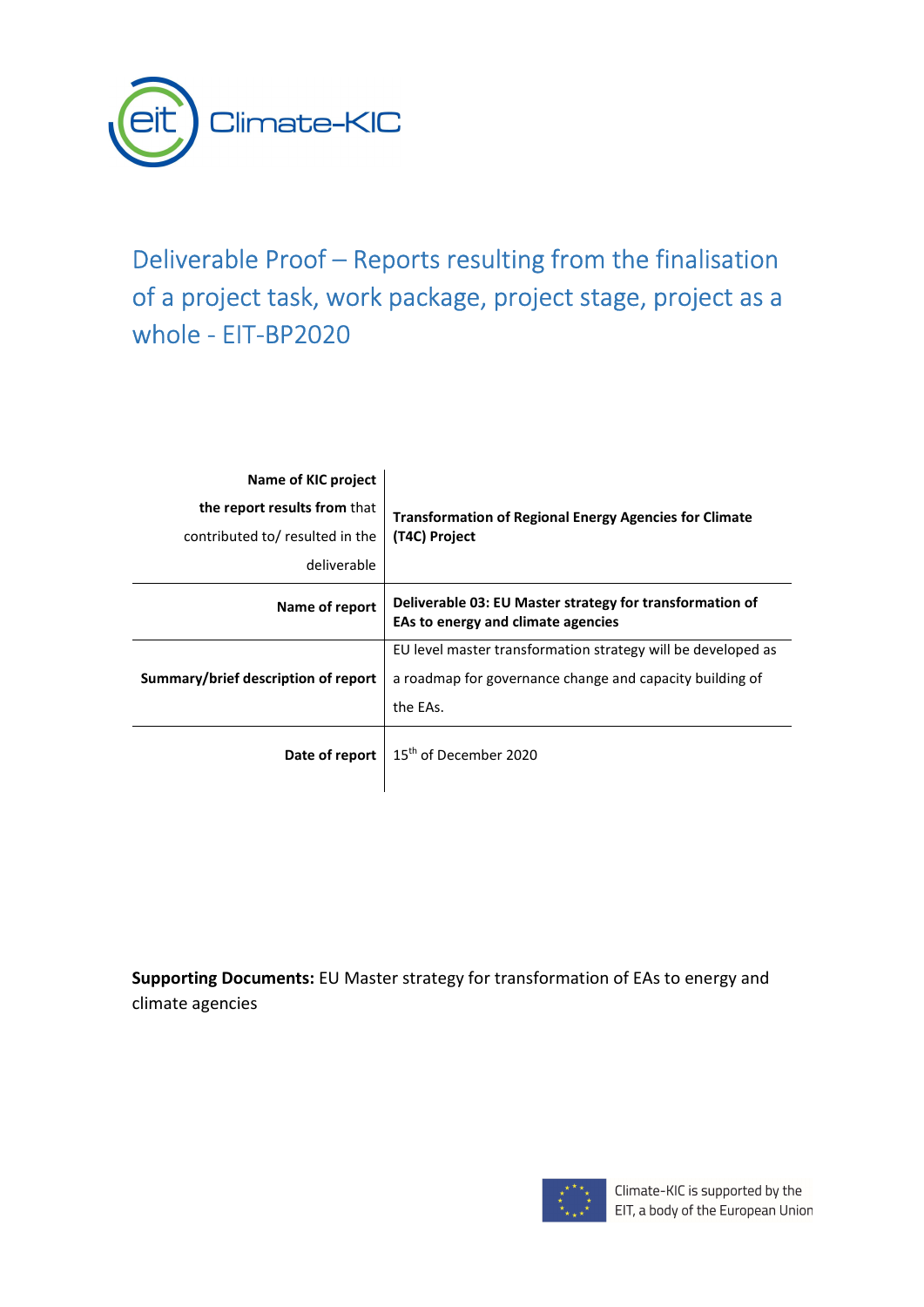

## Deliverable Proof – Reports resulting from the finalisation of a project task, work package, project stage, project as a whole - EIT-BP2020

| Name of KIC project<br>the report results from that<br>contributed to/ resulted in the<br>deliverable | <b>Transformation of Regional Energy Agencies for Climate</b><br>(T4C) Project                                                       |
|-------------------------------------------------------------------------------------------------------|--------------------------------------------------------------------------------------------------------------------------------------|
| Name of report                                                                                        | Deliverable 03: EU Master strategy for transformation of<br>EAs to energy and climate agencies                                       |
| Summary/brief description of report                                                                   | EU level master transformation strategy will be developed as<br>a roadmap for governance change and capacity building of<br>the EAs. |
| Date of report                                                                                        | 15 <sup>th</sup> of December 2020                                                                                                    |

Supporting Documents: EU Master strategy for transformation of EAs to energy and climate agencies

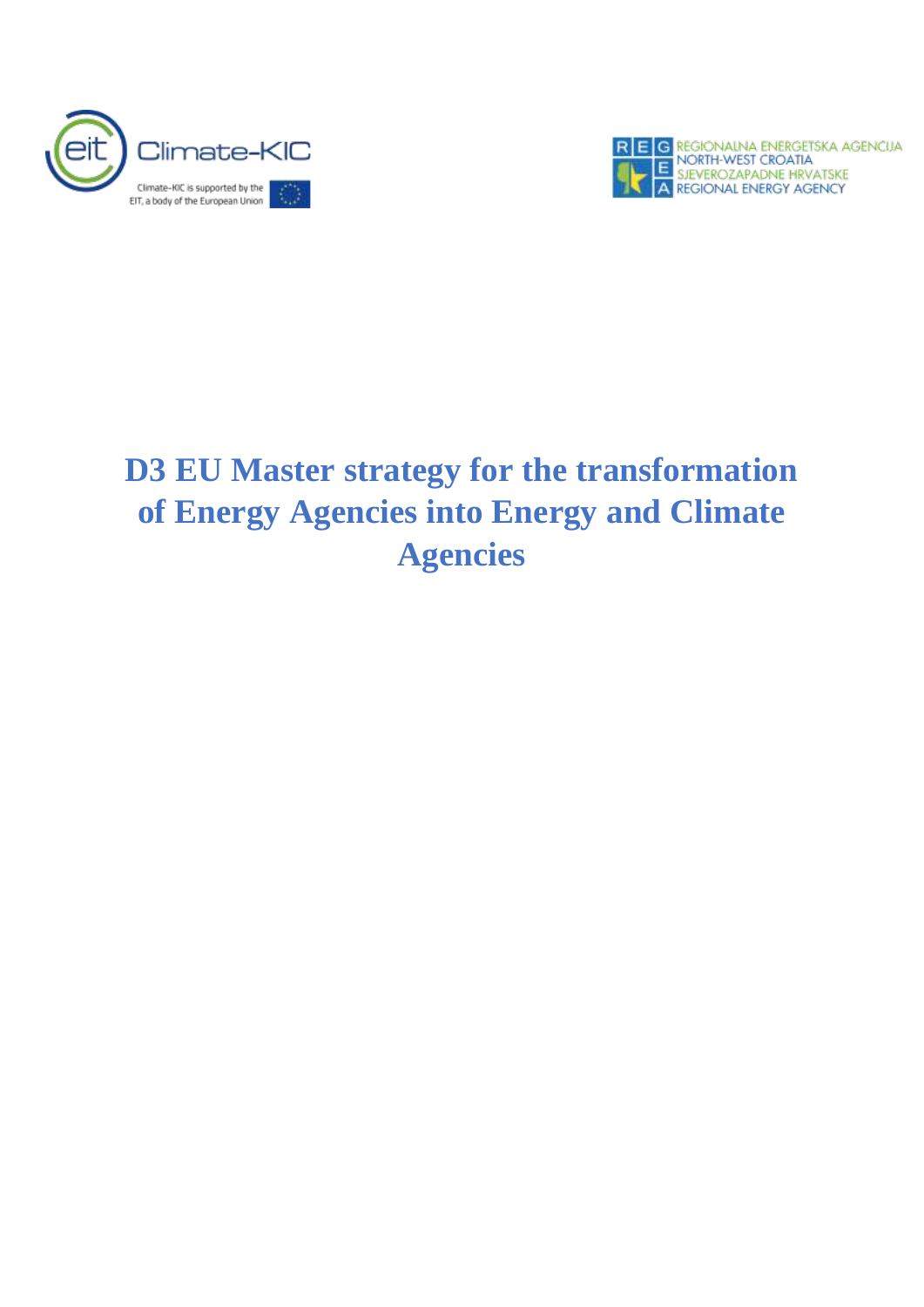



# **D3 EU Master strategy for the transformation of Energy Agencies into Energy and Climate Agencies**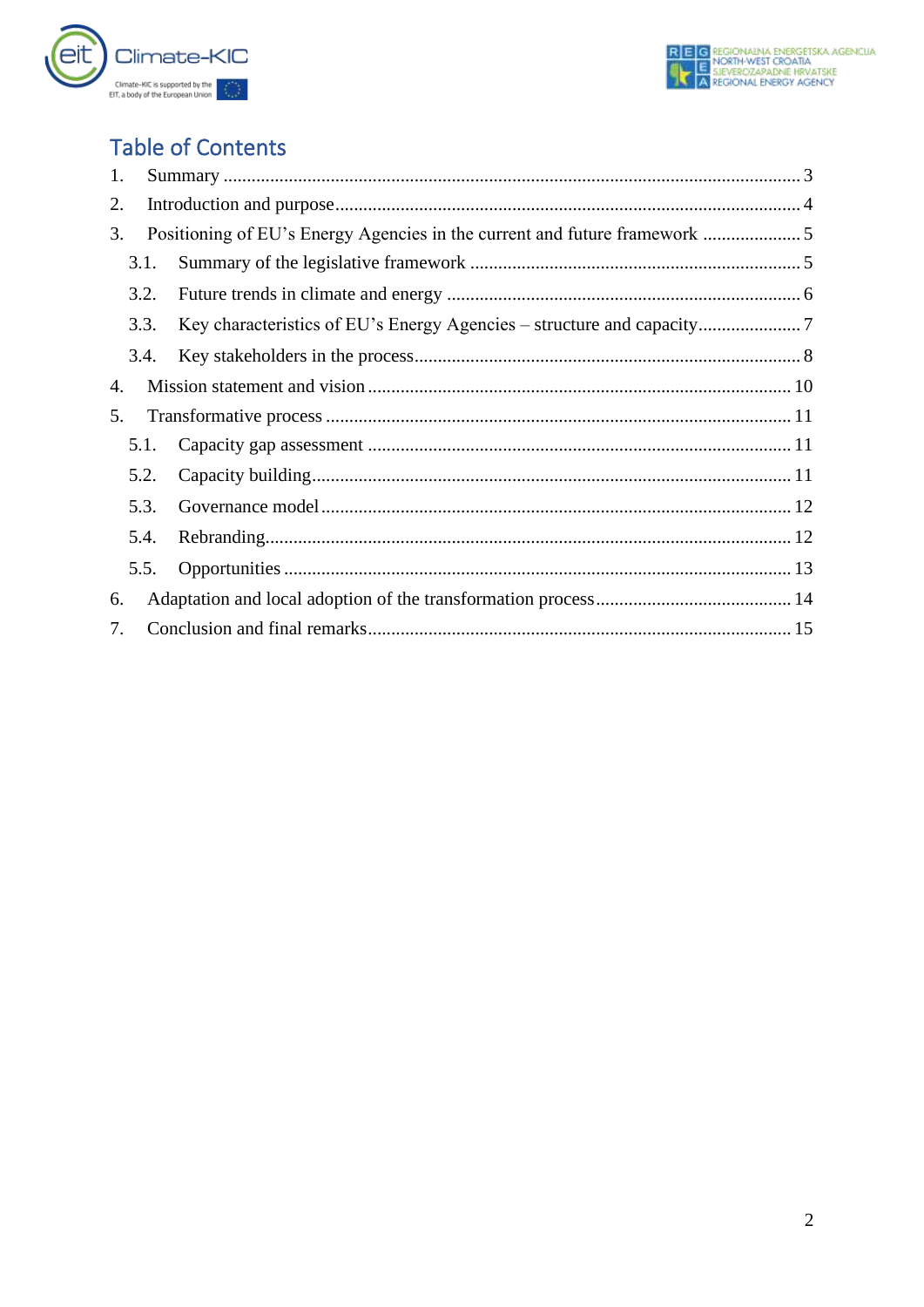

## **Table of Contents**

| 1.   |                                                                         |
|------|-------------------------------------------------------------------------|
| 2.   |                                                                         |
| 3.   | Positioning of EU's Energy Agencies in the current and future framework |
| 3.1. |                                                                         |
| 3.2. |                                                                         |
| 3.3. |                                                                         |
| 3.4. |                                                                         |
| 4.   |                                                                         |
| 5.   |                                                                         |
| 5.1. |                                                                         |
| 5.2. |                                                                         |
| 5.3. |                                                                         |
| 5.4. |                                                                         |
| 5.5. |                                                                         |
| 6.   |                                                                         |
| 7.   |                                                                         |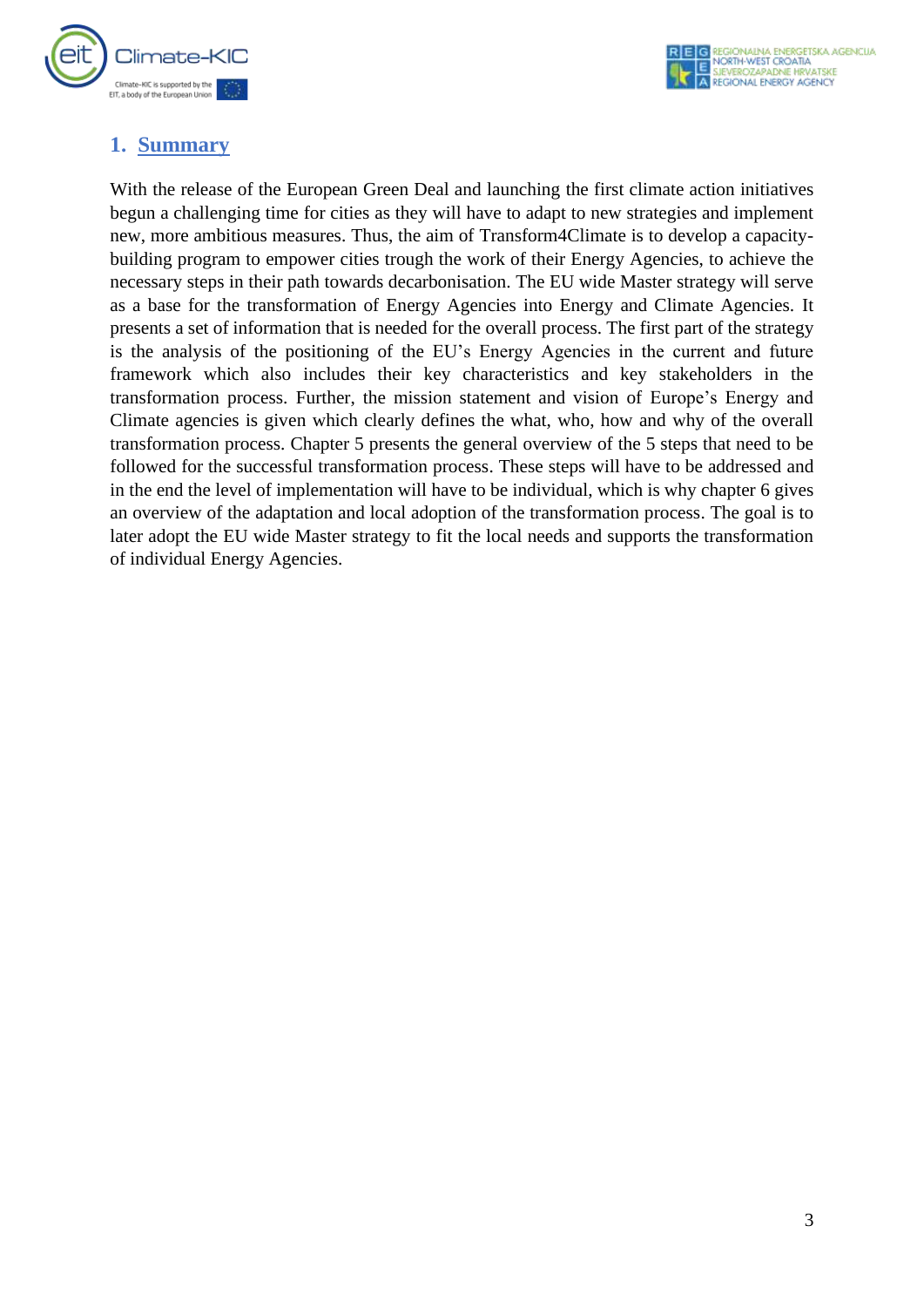

## <span id="page-3-0"></span>**1. Summary**

With the release of the European Green Deal and launching the first climate action initiatives begun a challenging time for cities as they will have to adapt to new strategies and implement new, more ambitious measures. Thus, the aim of Transform4Climate is to develop a capacitybuilding program to empower cities trough the work of their Energy Agencies, to achieve the necessary steps in their path towards decarbonisation. The EU wide Master strategy will serve as a base for the transformation of Energy Agencies into Energy and Climate Agencies. It presents a set of information that is needed for the overall process. The first part of the strategy is the analysis of the positioning of the EU's Energy Agencies in the current and future framework which also includes their key characteristics and key stakeholders in the transformation process. Further, the mission statement and vision of Europe's Energy and Climate agencies is given which clearly defines the what, who, how and why of the overall transformation process. Chapter 5 presents the general overview of the 5 steps that need to be followed for the successful transformation process. These steps will have to be addressed and in the end the level of implementation will have to be individual, which is why chapter 6 gives an overview of the adaptation and local adoption of the transformation process. The goal is to later adopt the EU wide Master strategy to fit the local needs and supports the transformation of individual Energy Agencies.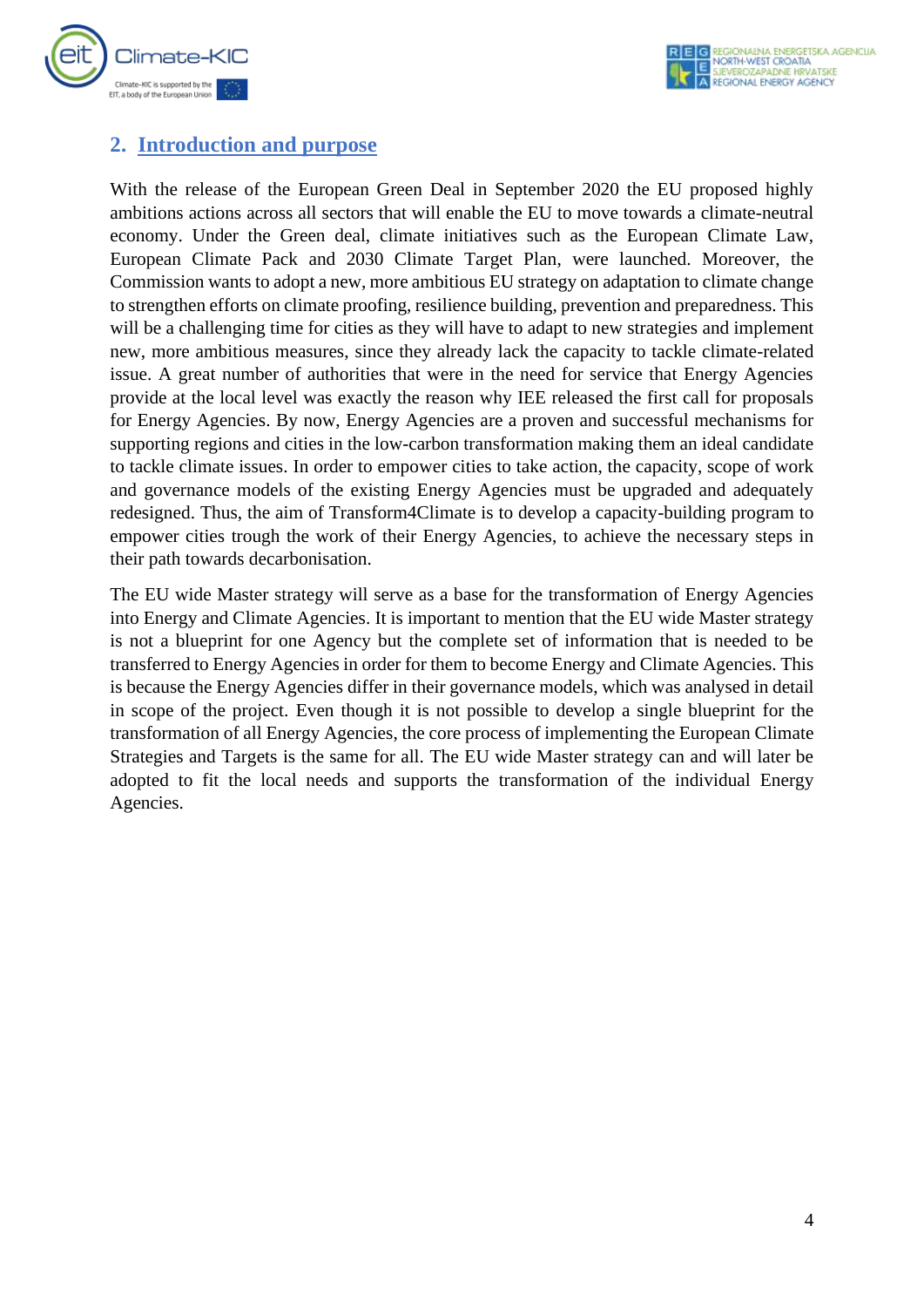

## <span id="page-4-0"></span>**2. Introduction and purpose**

With the release of the European Green Deal in September 2020 the EU proposed highly ambitions actions across all sectors that will enable the EU to move towards a climate-neutral economy. Under the Green deal, climate initiatives such as the European Climate Law, European Climate Pack and 2030 Climate Target Plan, were launched. Moreover, the Commission wants to adopt a new, more ambitious EU strategy on adaptation to climate change to strengthen efforts on climate proofing, resilience building, prevention and preparedness. This will be a challenging time for cities as they will have to adapt to new strategies and implement new, more ambitious measures, since they already lack the capacity to tackle climate-related issue. A great number of authorities that were in the need for service that Energy Agencies provide at the local level was exactly the reason why IEE released the first call for proposals for Energy Agencies. By now, Energy Agencies are a proven and successful mechanisms for supporting regions and cities in the low-carbon transformation making them an ideal candidate to tackle climate issues. In order to empower cities to take action, the capacity, scope of work and governance models of the existing Energy Agencies must be upgraded and adequately redesigned. Thus, the aim of Transform4Climate is to develop a capacity-building program to empower cities trough the work of their Energy Agencies, to achieve the necessary steps in their path towards decarbonisation.

The EU wide Master strategy will serve as a base for the transformation of Energy Agencies into Energy and Climate Agencies. It is important to mention that the EU wide Master strategy is not a blueprint for one Agency but the complete set of information that is needed to be transferred to Energy Agencies in order for them to become Energy and Climate Agencies. This is because the Energy Agencies differ in their governance models, which was analysed in detail in scope of the project. Even though it is not possible to develop a single blueprint for the transformation of all Energy Agencies, the core process of implementing the European Climate Strategies and Targets is the same for all. The EU wide Master strategy can and will later be adopted to fit the local needs and supports the transformation of the individual Energy Agencies.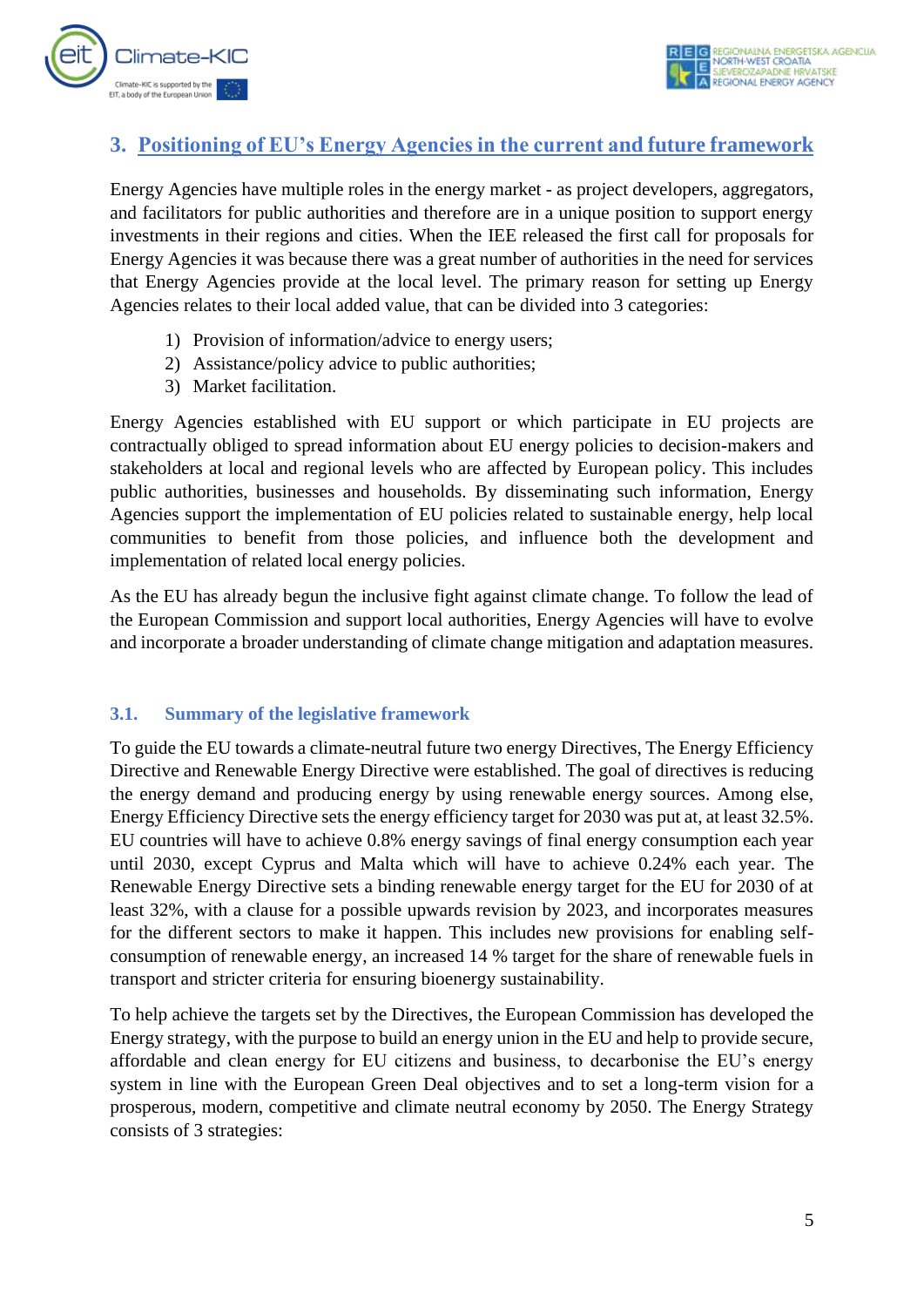

## <span id="page-5-0"></span>**3. Positioning of EU's Energy Agencies in the current and future framework**

Energy Agencies have multiple roles in the energy market - as project developers, aggregators, and facilitators for public authorities and therefore are in a unique position to support energy investments in their regions and cities. When the IEE released the first call for proposals for Energy Agencies it was because there was a great number of authorities in the need for services that Energy Agencies provide at the local level. The primary reason for setting up Energy Agencies relates to their local added value, that can be divided into 3 categories:

- 1) Provision of information/advice to energy users;
- 2) Assistance/policy advice to public authorities;
- 3) Market facilitation.

Energy Agencies established with EU support or which participate in EU projects are contractually obliged to spread information about EU energy policies to decision-makers and stakeholders at local and regional levels who are affected by European policy. This includes public authorities, businesses and households. By disseminating such information, Energy Agencies support the implementation of EU policies related to sustainable energy, help local communities to benefit from those policies, and influence both the development and implementation of related local energy policies.

As the EU has already begun the inclusive fight against climate change. To follow the lead of the European Commission and support local authorities, Energy Agencies will have to evolve and incorporate a broader understanding of climate change mitigation and adaptation measures.

#### <span id="page-5-1"></span>**3.1. Summary of the legislative framework**

To guide the EU towards a climate-neutral future two energy Directives, The Energy Efficiency Directive and Renewable Energy Directive were established. The goal of directives is reducing the energy demand and producing energy by using renewable energy sources. Among else, Energy Efficiency Directive sets the energy efficiency target for 2030 was put at, at least 32.5%. EU countries will have to achieve 0.8% energy savings of final energy consumption each year until 2030, except Cyprus and Malta which will have to achieve 0.24% each year. The Renewable Energy Directive sets a binding renewable energy target for the EU for 2030 of at least 32%, with a clause for a possible upwards revision by 2023, and incorporates measures for the different sectors to make it happen. This includes new provisions for enabling selfconsumption of renewable energy, an increased 14 % target for the share of renewable fuels in transport and stricter criteria for ensuring bioenergy sustainability.

To help achieve the targets set by the Directives, the European Commission has developed the Energy strategy, with the purpose to build an energy union in the EU and help to provide secure, affordable and clean energy for EU citizens and business, to decarbonise the EU's energy system in line with the European Green Deal objectives and to set a long-term vision for a prosperous, modern, competitive and climate neutral economy by 2050. The Energy Strategy consists of 3 strategies: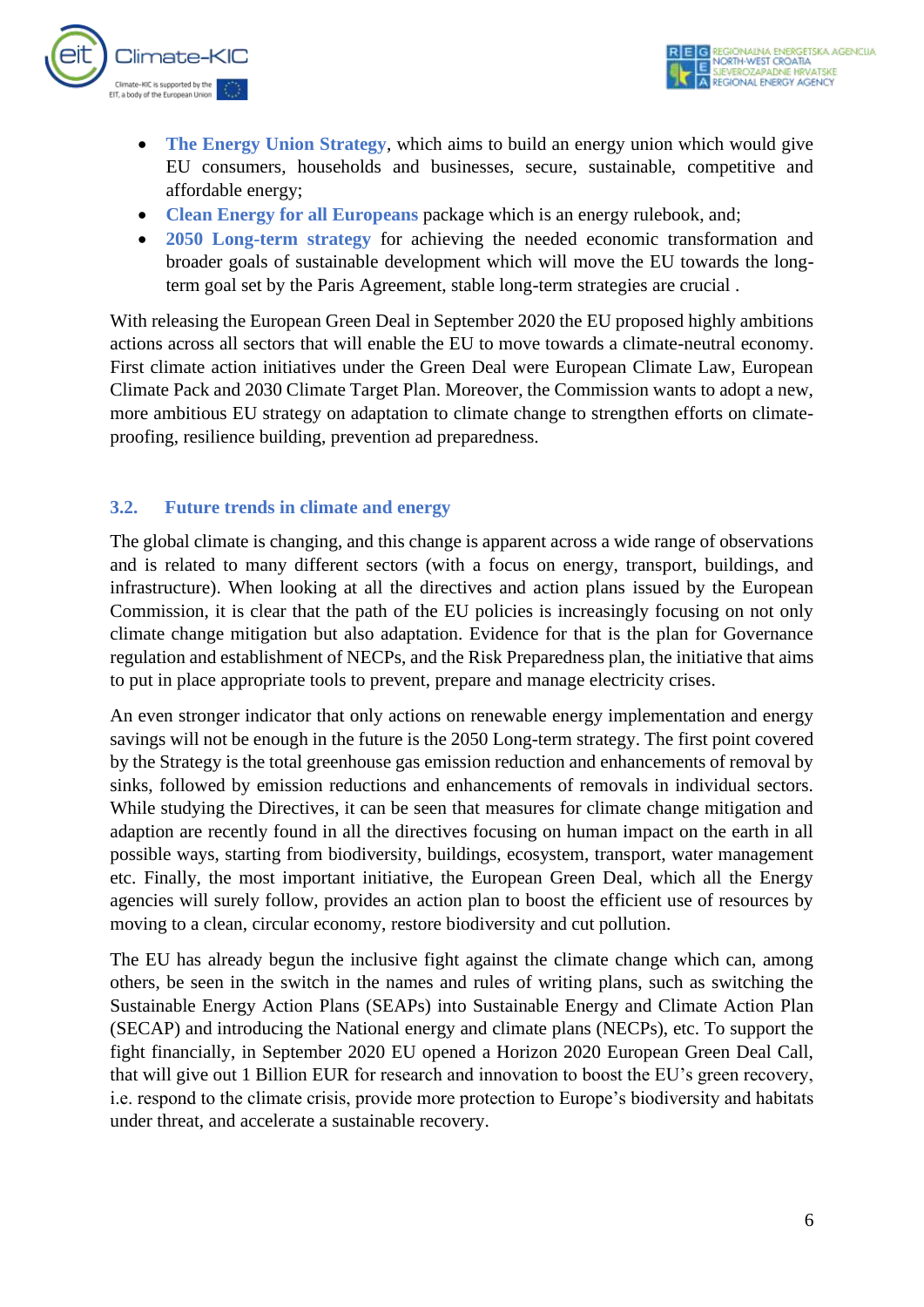

- **The Energy Union Strategy**, which aims to build an energy union which would give EU consumers, households and businesses, secure, sustainable, competitive and affordable energy;
- **Clean Energy for all Europeans** package which is an energy rulebook, and;
- **2050 Long-term strategy** for achieving the needed economic transformation and broader goals of sustainable development which will move the EU towards the longterm goal set by the Paris Agreement, stable long-term strategies are crucial .

With releasing the European Green Deal in September 2020 the EU proposed highly ambitions actions across all sectors that will enable the EU to move towards a climate-neutral economy. First climate action initiatives under the Green Deal were European Climate Law, European Climate Pack and 2030 Climate Target Plan. Moreover, the Commission wants to adopt a new, more ambitious EU strategy on adaptation to climate change to strengthen efforts on climateproofing, resilience building, prevention ad preparedness.

#### <span id="page-6-0"></span>**3.2. Future trends in climate and energy**

The global climate is changing, and this change is apparent across a wide range of observations and is related to many different sectors (with a focus on energy, transport, buildings, and infrastructure). When looking at all the directives and action plans issued by the European Commission, it is clear that the path of the EU policies is increasingly focusing on not only climate change mitigation but also adaptation. Evidence for that is the plan for Governance regulation and establishment of NECPs, and the Risk Preparedness plan, the initiative that aims to put in place appropriate tools to prevent, prepare and manage electricity crises.

An even stronger indicator that only actions on renewable energy implementation and energy savings will not be enough in the future is the 2050 Long-term strategy. The first point covered by the Strategy is the total greenhouse gas emission reduction and enhancements of removal by sinks, followed by emission reductions and enhancements of removals in individual sectors. While studying the Directives, it can be seen that measures for climate change mitigation and adaption are recently found in all the directives focusing on human impact on the earth in all possible ways, starting from biodiversity, buildings, ecosystem, transport, water management etc. Finally, the most important initiative, the European Green Deal, which all the Energy agencies will surely follow, provides an action plan to boost the efficient use of resources by moving to a clean, circular economy, restore biodiversity and cut pollution.

The EU has already begun the inclusive fight against the climate change which can, among others, be seen in the switch in the names and rules of writing plans, such as switching the Sustainable Energy Action Plans (SEAPs) into Sustainable Energy and Climate Action Plan (SECAP) and introducing the National energy and climate plans (NECPs), etc. To support the fight financially, in September 2020 EU opened a Horizon 2020 European Green Deal Call, that will give out 1 Billion EUR for research and innovation to boost the EU's green recovery, i.e. respond to the climate crisis, provide more protection to Europe's biodiversity and habitats under threat, and accelerate a sustainable recovery.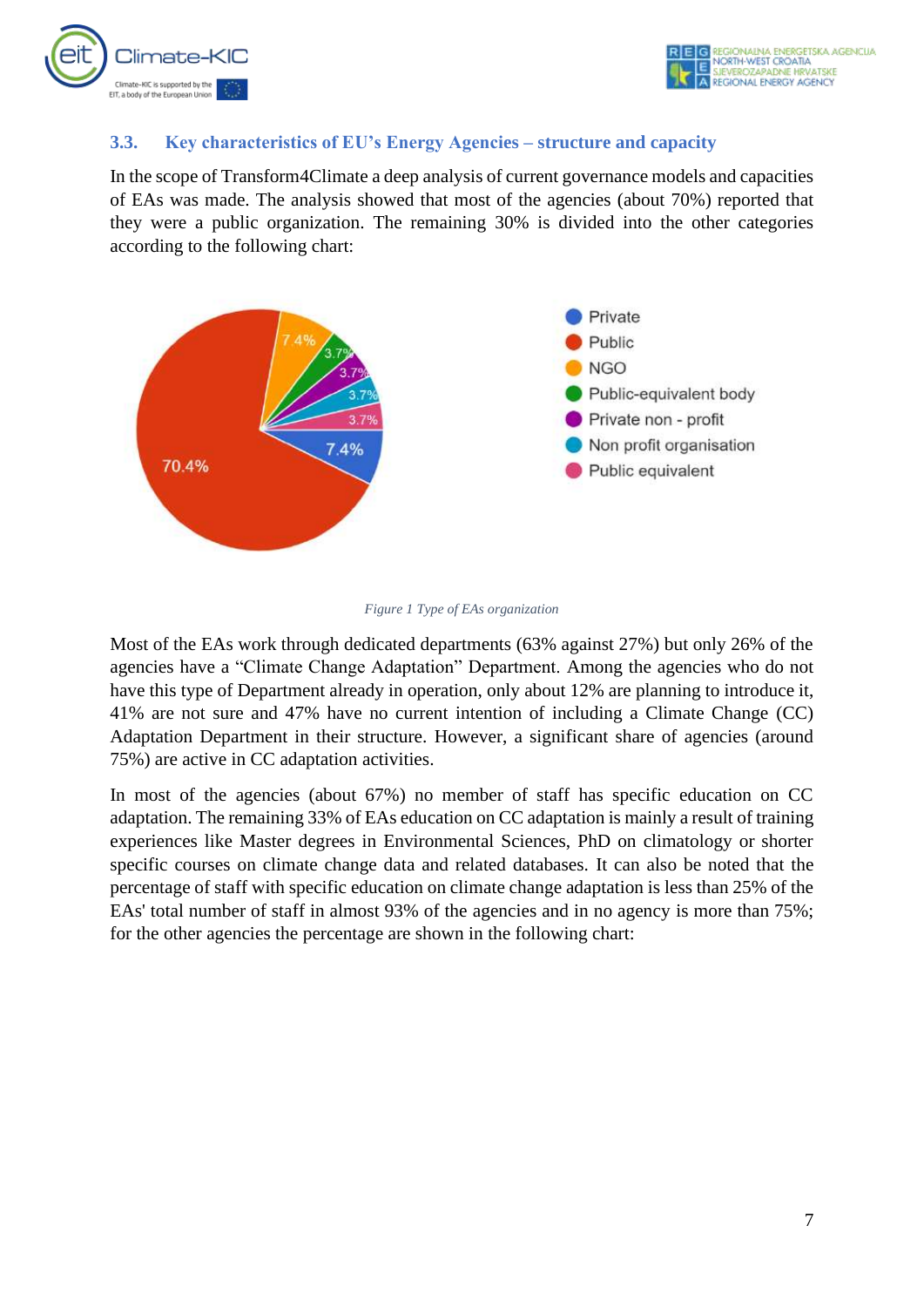

#### <span id="page-7-0"></span>**3.3. Key characteristics of EU's Energy Agencies – structure and capacity**

In the scope of Transform4Climate a deep analysis of current governance models and capacities of EAs was made. The analysis showed that most of the agencies (about 70%) reported that they were a public organization. The remaining 30% is divided into the other categories according to the following chart:





Most of the EAs work through dedicated departments (63% against 27%) but only 26% of the agencies have a "Climate Change Adaptation" Department. Among the agencies who do not have this type of Department already in operation, only about 12% are planning to introduce it, 41% are not sure and 47% have no current intention of including a Climate Change (CC) Adaptation Department in their structure. However, a significant share of agencies (around 75%) are active in CC adaptation activities.

In most of the agencies (about 67%) no member of staff has specific education on CC adaptation. The remaining 33% of EAs education on CC adaptation is mainly a result of training experiences like Master degrees in Environmental Sciences, PhD on climatology or shorter specific courses on climate change data and related databases. It can also be noted that the percentage of staff with specific education on climate change adaptation is less than 25% of the EAs' total number of staff in almost 93% of the agencies and in no agency is more than 75%; for the other agencies the percentage are shown in the following chart: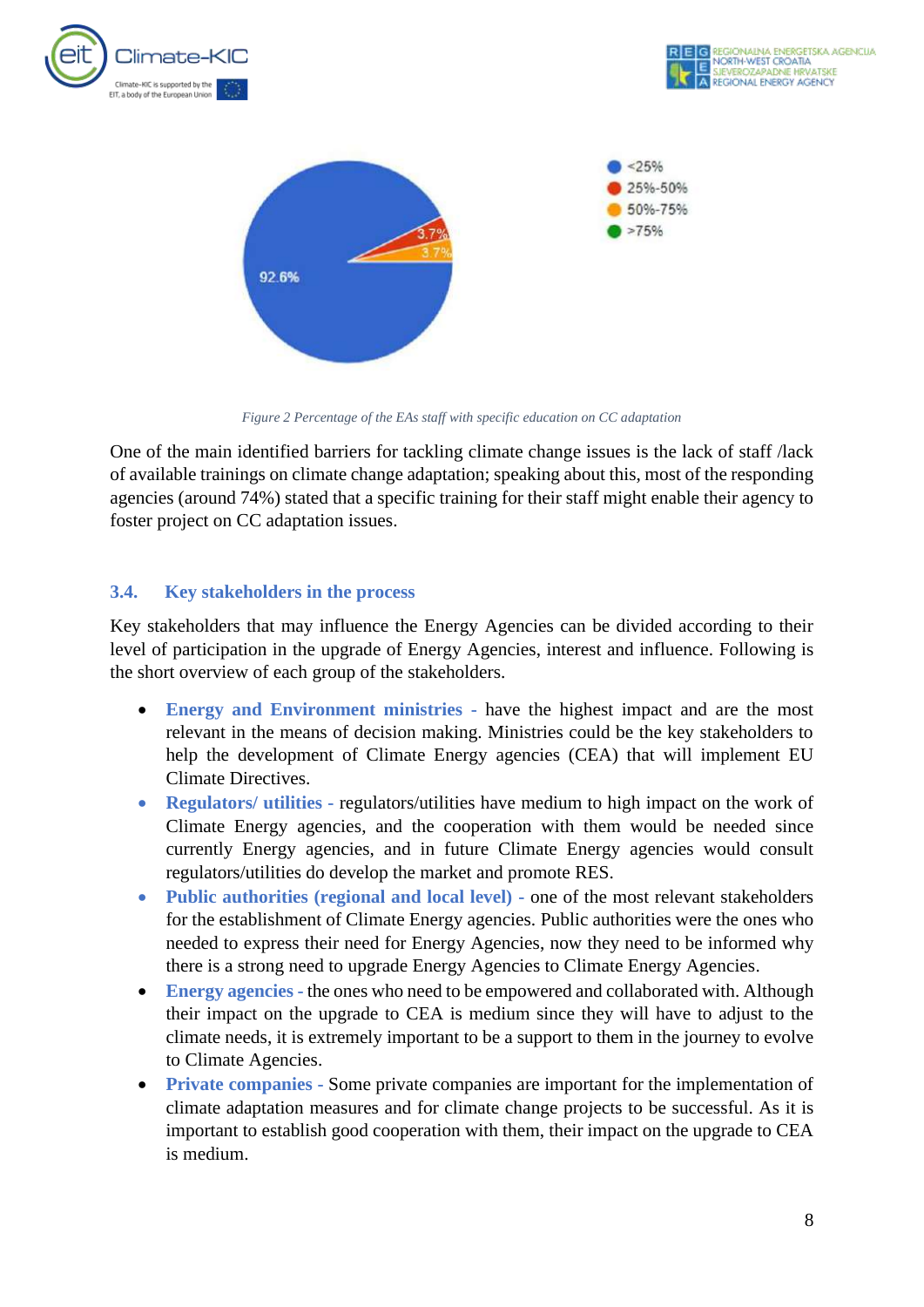



*Figure 2 Percentage of the EAs staff with specific education on CC adaptation*

One of the main identified barriers for tackling climate change issues is the lack of staff /lack of available trainings on climate change adaptation; speaking about this, most of the responding agencies (around 74%) stated that a specific training for their staff might enable their agency to foster project on CC adaptation issues.

#### <span id="page-8-0"></span>**3.4. Key stakeholders in the process**

Key stakeholders that may influence the Energy Agencies can be divided according to their level of participation in the upgrade of Energy Agencies, interest and influence. Following is the short overview of each group of the stakeholders.

- **Energy and Environment ministries -** have the highest impact and are the most relevant in the means of decision making. Ministries could be the key stakeholders to help the development of Climate Energy agencies (CEA) that will implement EU Climate Directives.
- **Regulators/ utilities** regulators/ utilities have medium to high impact on the work of Climate Energy agencies, and the cooperation with them would be needed since currently Energy agencies, and in future Climate Energy agencies would consult regulators/utilities do develop the market and promote RES.
- **Public authorities (regional and local level) -** one of the most relevant stakeholders for the establishment of Climate Energy agencies. Public authorities were the ones who needed to express their need for Energy Agencies, now they need to be informed why there is a strong need to upgrade Energy Agencies to Climate Energy Agencies.
- **Energy agencies** the ones who need to be empowered and collaborated with. Although their impact on the upgrade to CEA is medium since they will have to adjust to the climate needs, it is extremely important to be a support to them in the journey to evolve to Climate Agencies.
- **Private companies -** Some private companies are important for the implementation of climate adaptation measures and for climate change projects to be successful. As it is important to establish good cooperation with them, their impact on the upgrade to CEA is medium.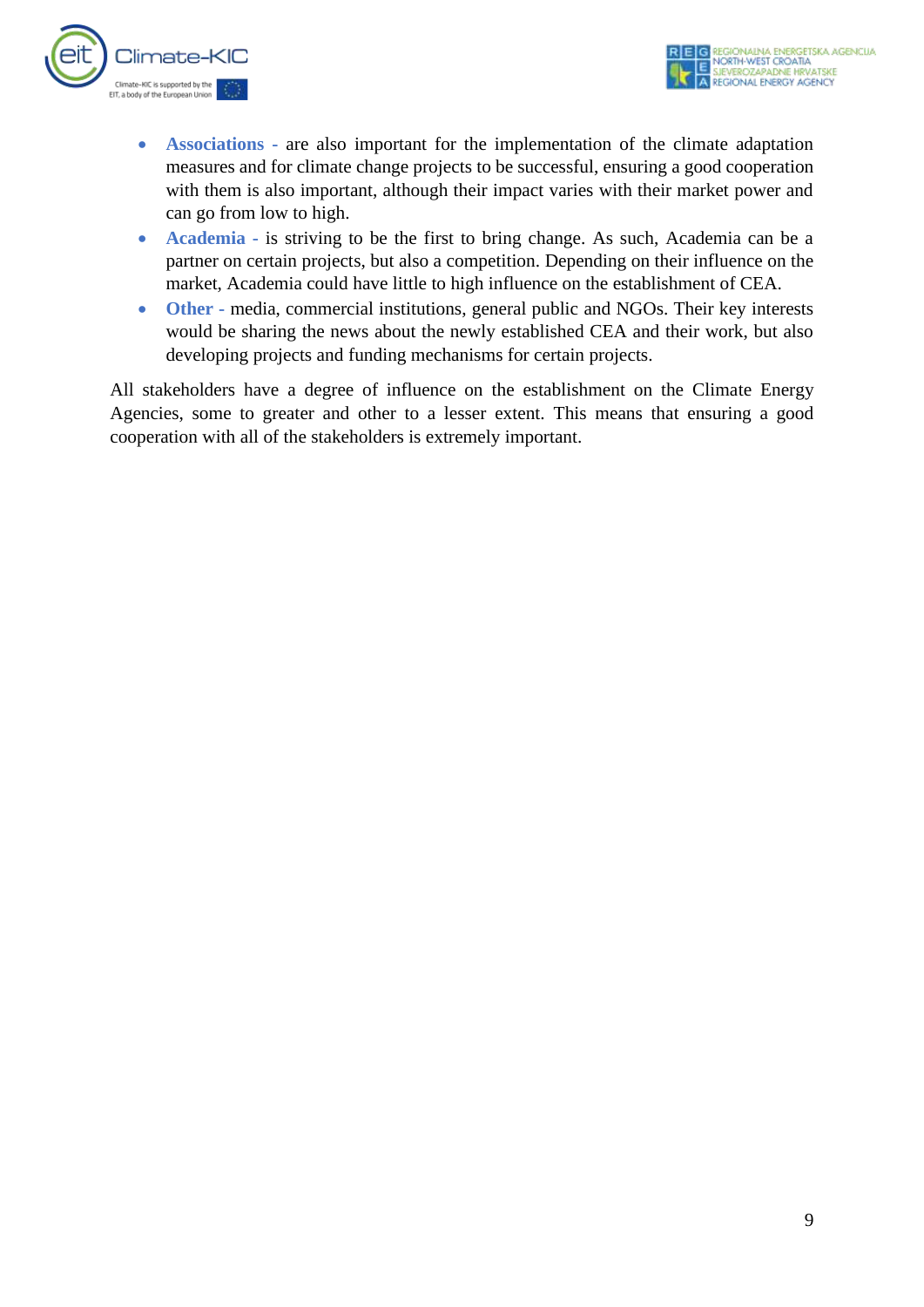

- **Associations** are also important for the implementation of the climate adaptation measures and for climate change projects to be successful, ensuring a good cooperation with them is also important, although their impact varies with their market power and can go from low to high.
- **Academia -** is striving to be the first to bring change. As such, Academia can be a partner on certain projects, but also a competition. Depending on their influence on the market, Academia could have little to high influence on the establishment of CEA.
- **Other -** media, commercial institutions, general public and NGOs. Their key interests would be sharing the news about the newly established CEA and their work, but also developing projects and funding mechanisms for certain projects.

All stakeholders have a degree of influence on the establishment on the Climate Energy Agencies, some to greater and other to a lesser extent. This means that ensuring a good cooperation with all of the stakeholders is extremely important.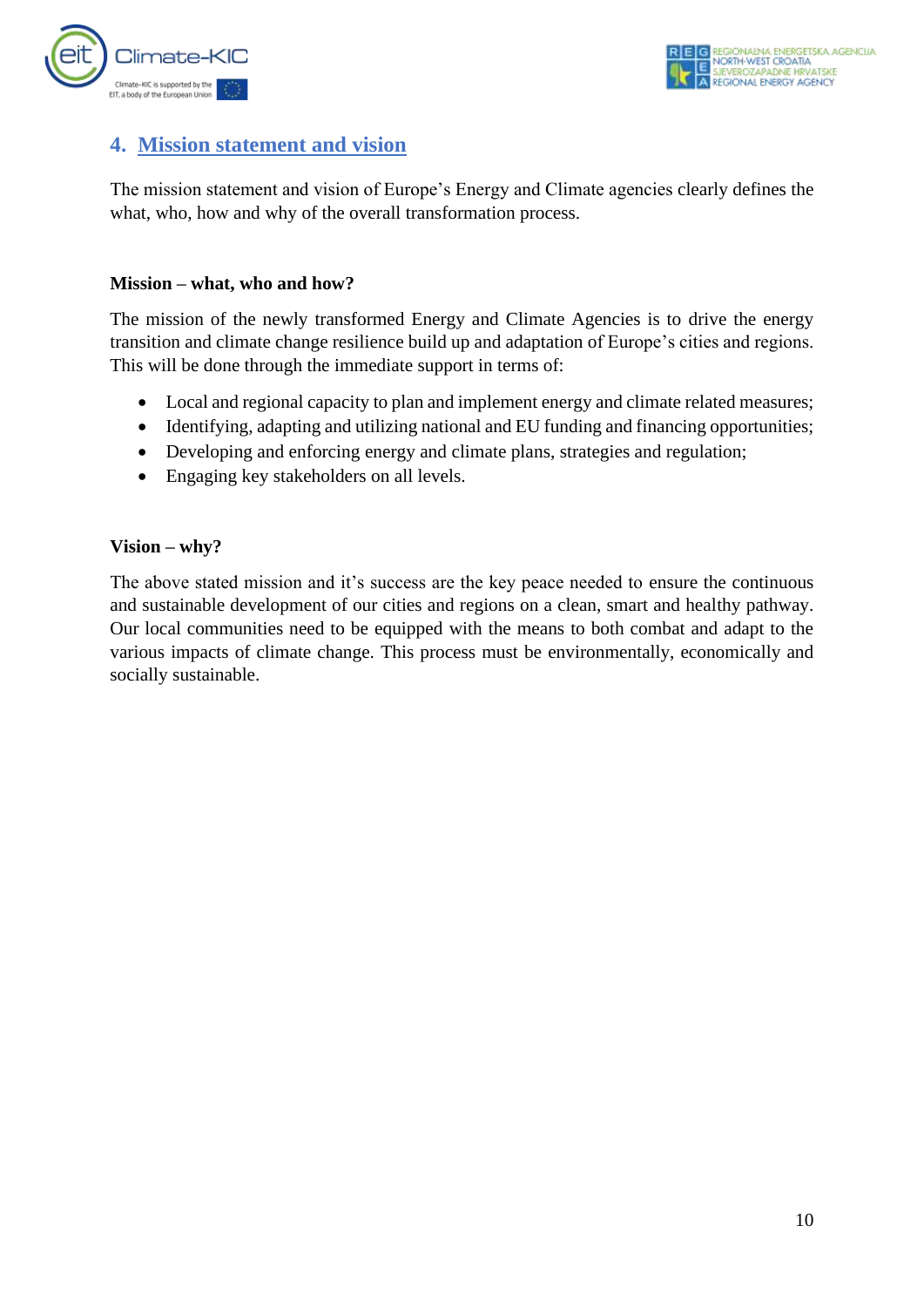

## <span id="page-10-0"></span>**4. Mission statement and vision**

The mission statement and vision of Europe's Energy and Climate agencies clearly defines the what, who, how and why of the overall transformation process.

#### **Mission – what, who and how?**

The mission of the newly transformed Energy and Climate Agencies is to drive the energy transition and climate change resilience build up and adaptation of Europe's cities and regions. This will be done through the immediate support in terms of:

- Local and regional capacity to plan and implement energy and climate related measures;
- Identifying, adapting and utilizing national and EU funding and financing opportunities;
- Developing and enforcing energy and climate plans, strategies and regulation;
- Engaging key stakeholders on all levels.

#### **Vision – why?**

The above stated mission and it's success are the key peace needed to ensure the continuous and sustainable development of our cities and regions on a clean, smart and healthy pathway. Our local communities need to be equipped with the means to both combat and adapt to the various impacts of climate change. This process must be environmentally, economically and socially sustainable.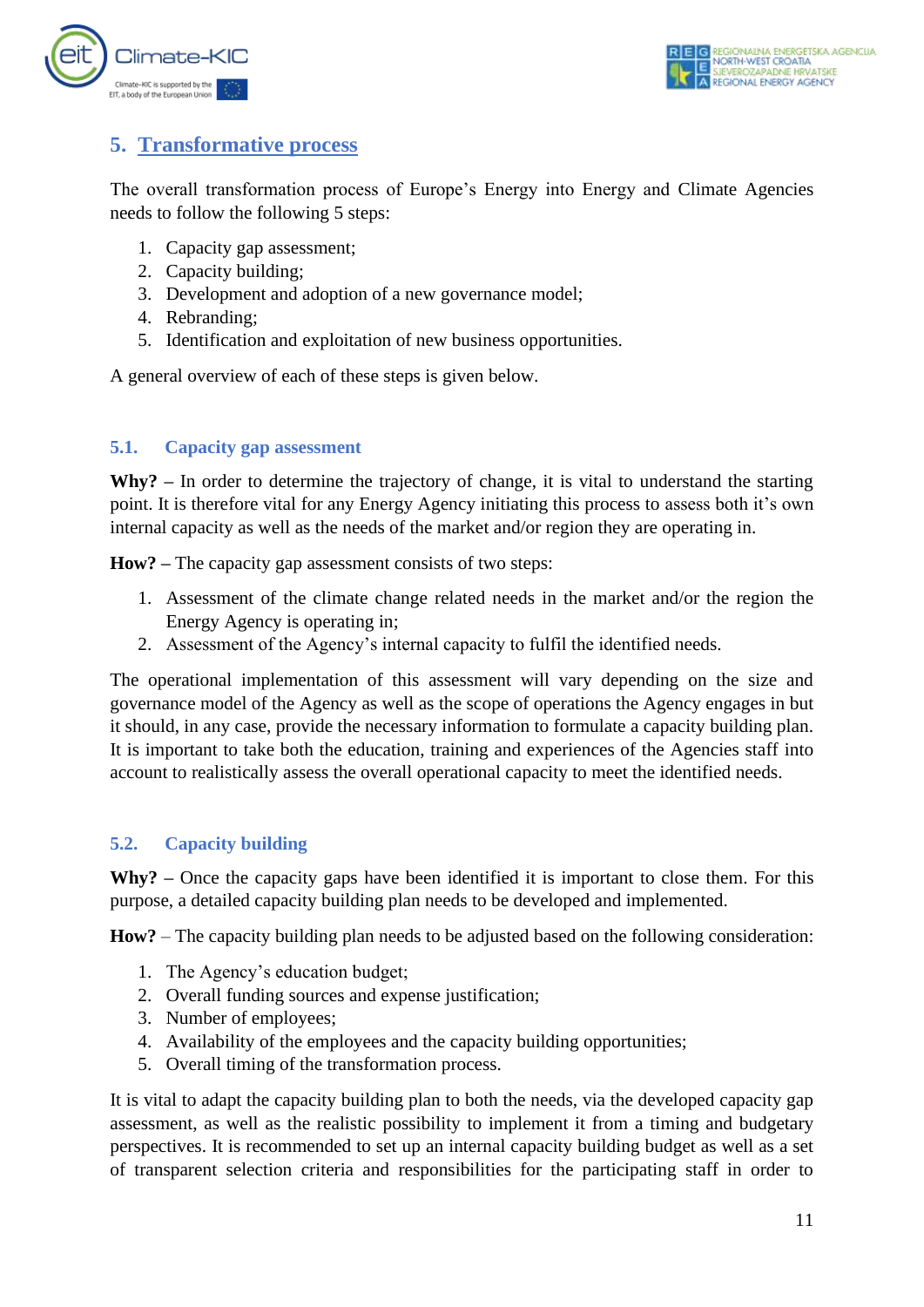

## <span id="page-11-0"></span>**5. Transformative process**

The overall transformation process of Europe's Energy into Energy and Climate Agencies needs to follow the following 5 steps:

- 1. Capacity gap assessment;
- 2. Capacity building;
- 3. Development and adoption of a new governance model;
- 4. Rebranding;
- 5. Identification and exploitation of new business opportunities.

A general overview of each of these steps is given below.

#### <span id="page-11-1"></span>**5.1. Capacity gap assessment**

**Why? –** In order to determine the trajectory of change, it is vital to understand the starting point. It is therefore vital for any Energy Agency initiating this process to assess both it's own internal capacity as well as the needs of the market and/or region they are operating in.

**How? –** The capacity gap assessment consists of two steps:

- 1. Assessment of the climate change related needs in the market and/or the region the Energy Agency is operating in;
- 2. Assessment of the Agency's internal capacity to fulfil the identified needs.

The operational implementation of this assessment will vary depending on the size and governance model of the Agency as well as the scope of operations the Agency engages in but it should, in any case, provide the necessary information to formulate a capacity building plan. It is important to take both the education, training and experiences of the Agencies staff into account to realistically assess the overall operational capacity to meet the identified needs.

#### <span id="page-11-2"></span>**5.2. Capacity building**

**Why? –** Once the capacity gaps have been identified it is important to close them. For this purpose, a detailed capacity building plan needs to be developed and implemented.

**How?** – The capacity building plan needs to be adjusted based on the following consideration:

- 1. The Agency's education budget;
- 2. Overall funding sources and expense justification;
- 3. Number of employees;
- 4. Availability of the employees and the capacity building opportunities;
- 5. Overall timing of the transformation process.

It is vital to adapt the capacity building plan to both the needs, via the developed capacity gap assessment, as well as the realistic possibility to implement it from a timing and budgetary perspectives. It is recommended to set up an internal capacity building budget as well as a set of transparent selection criteria and responsibilities for the participating staff in order to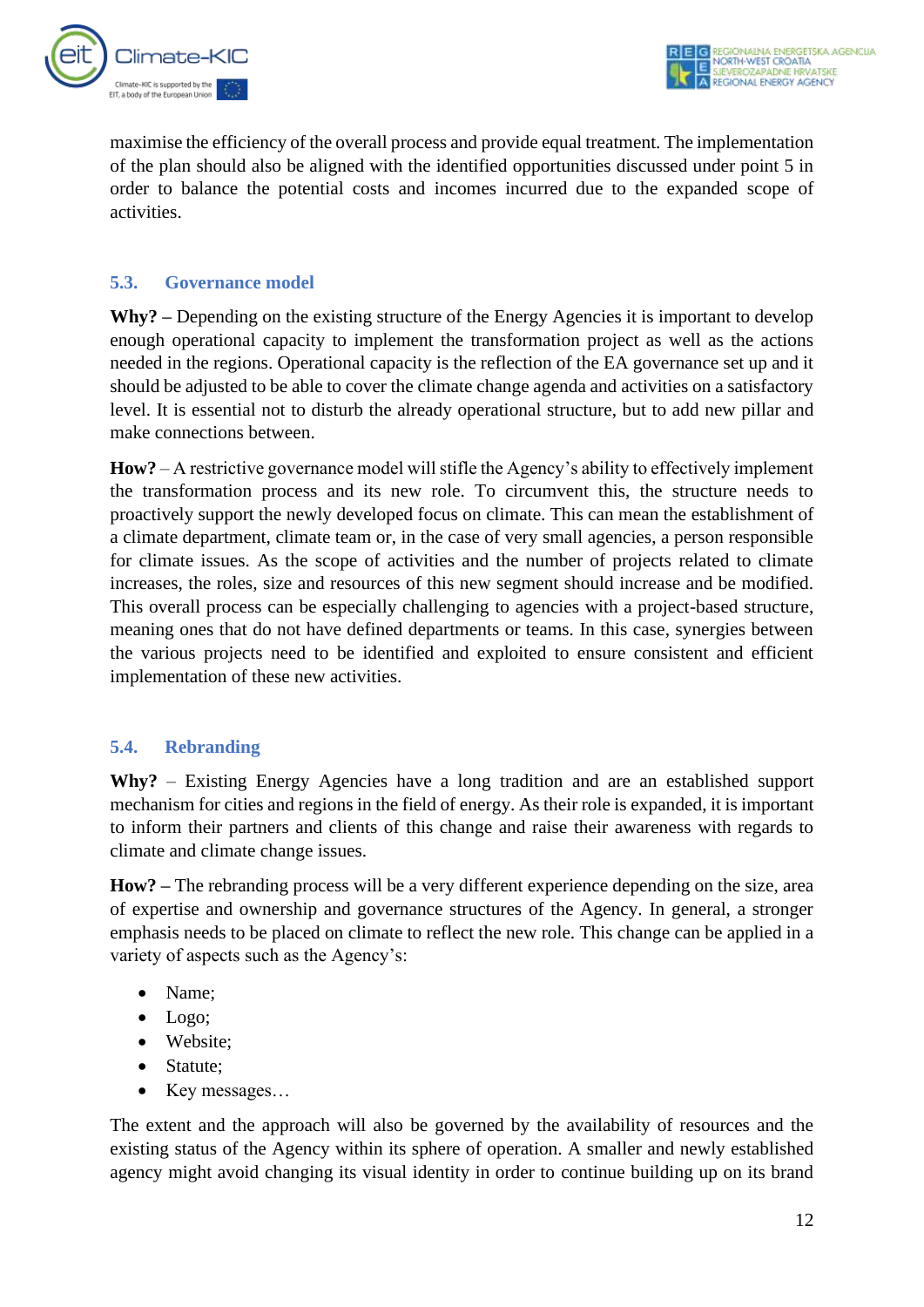

maximise the efficiency of the overall process and provide equal treatment. The implementation of the plan should also be aligned with the identified opportunities discussed under point 5 in order to balance the potential costs and incomes incurred due to the expanded scope of activities.

#### <span id="page-12-0"></span>**5.3. Governance model**

**Why? –** Depending on the existing structure of the Energy Agencies it is important to develop enough operational capacity to implement the transformation project as well as the actions needed in the regions. Operational capacity is the reflection of the EA governance set up and it should be adjusted to be able to cover the climate change agenda and activities on a satisfactory level. It is essential not to disturb the already operational structure, but to add new pillar and make connections between.

**How?** – A restrictive governance model will stifle the Agency's ability to effectively implement the transformation process and its new role. To circumvent this, the structure needs to proactively support the newly developed focus on climate. This can mean the establishment of a climate department, climate team or, in the case of very small agencies, a person responsible for climate issues. As the scope of activities and the number of projects related to climate increases, the roles, size and resources of this new segment should increase and be modified. This overall process can be especially challenging to agencies with a project-based structure, meaning ones that do not have defined departments or teams. In this case, synergies between the various projects need to be identified and exploited to ensure consistent and efficient implementation of these new activities.

#### <span id="page-12-1"></span>**5.4. Rebranding**

**Why?** – Existing Energy Agencies have a long tradition and are an established support mechanism for cities and regions in the field of energy. As their role is expanded, it is important to inform their partners and clients of this change and raise their awareness with regards to climate and climate change issues.

**How? –** The rebranding process will be a very different experience depending on the size, area of expertise and ownership and governance structures of the Agency. In general, a stronger emphasis needs to be placed on climate to reflect the new role. This change can be applied in a variety of aspects such as the Agency's:

- Name;
- Logo;
- Website;
- Statute;
- Key messages...

The extent and the approach will also be governed by the availability of resources and the existing status of the Agency within its sphere of operation. A smaller and newly established agency might avoid changing its visual identity in order to continue building up on its brand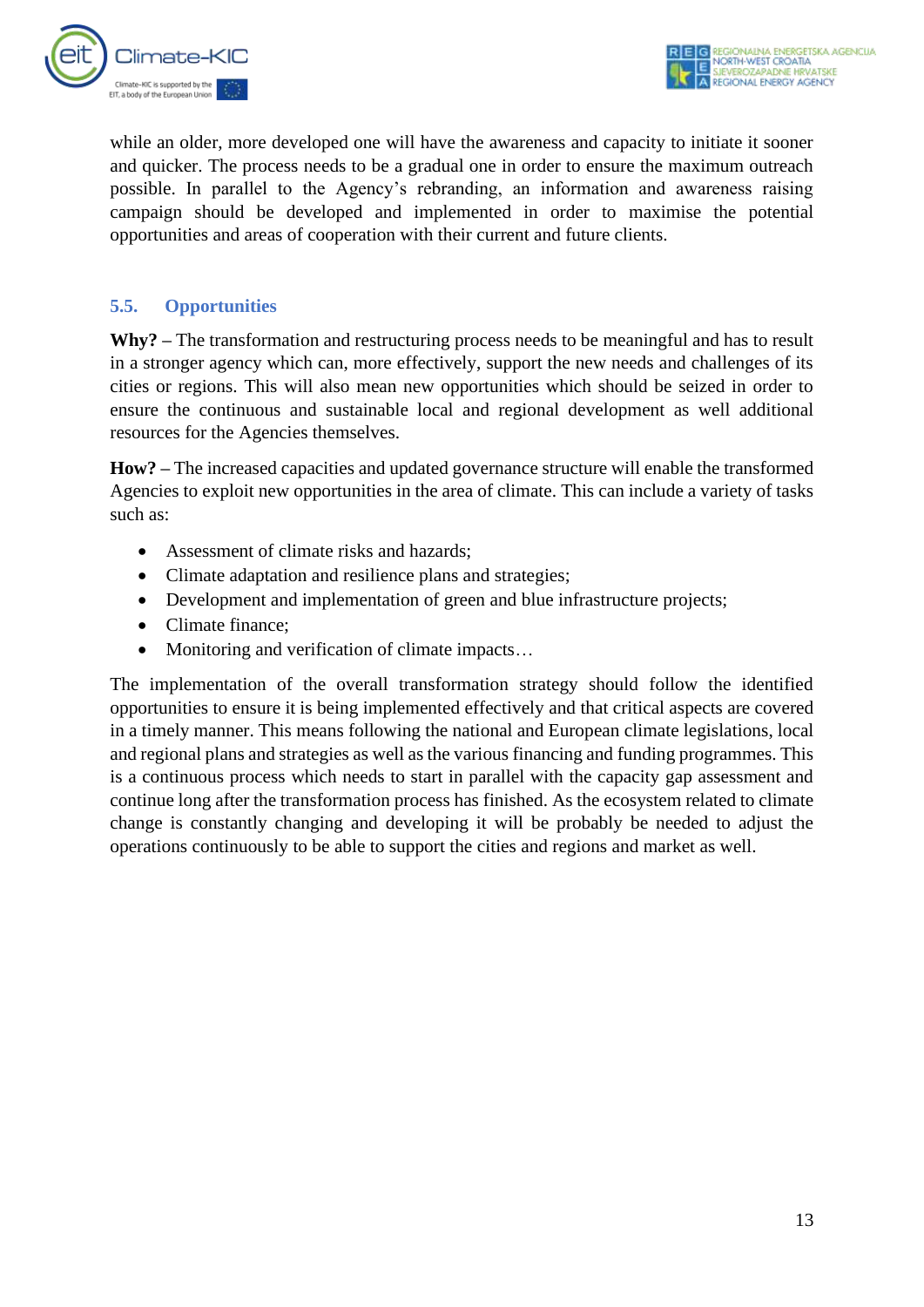

while an older, more developed one will have the awareness and capacity to initiate it sooner and quicker. The process needs to be a gradual one in order to ensure the maximum outreach possible. In parallel to the Agency's rebranding, an information and awareness raising campaign should be developed and implemented in order to maximise the potential opportunities and areas of cooperation with their current and future clients.

#### <span id="page-13-0"></span>**5.5. Opportunities**

**Why? –** The transformation and restructuring process needs to be meaningful and has to result in a stronger agency which can, more effectively, support the new needs and challenges of its cities or regions. This will also mean new opportunities which should be seized in order to ensure the continuous and sustainable local and regional development as well additional resources for the Agencies themselves.

**How? –** The increased capacities and updated governance structure will enable the transformed Agencies to exploit new opportunities in the area of climate. This can include a variety of tasks such as:

- Assessment of climate risks and hazards;
- Climate adaptation and resilience plans and strategies;
- Development and implementation of green and blue infrastructure projects;
- Climate finance;
- Monitoring and verification of climate impacts...

The implementation of the overall transformation strategy should follow the identified opportunities to ensure it is being implemented effectively and that critical aspects are covered in a timely manner. This means following the national and European climate legislations, local and regional plans and strategies as well as the various financing and funding programmes. This is a continuous process which needs to start in parallel with the capacity gap assessment and continue long after the transformation process has finished. As the ecosystem related to climate change is constantly changing and developing it will be probably be needed to adjust the operations continuously to be able to support the cities and regions and market as well.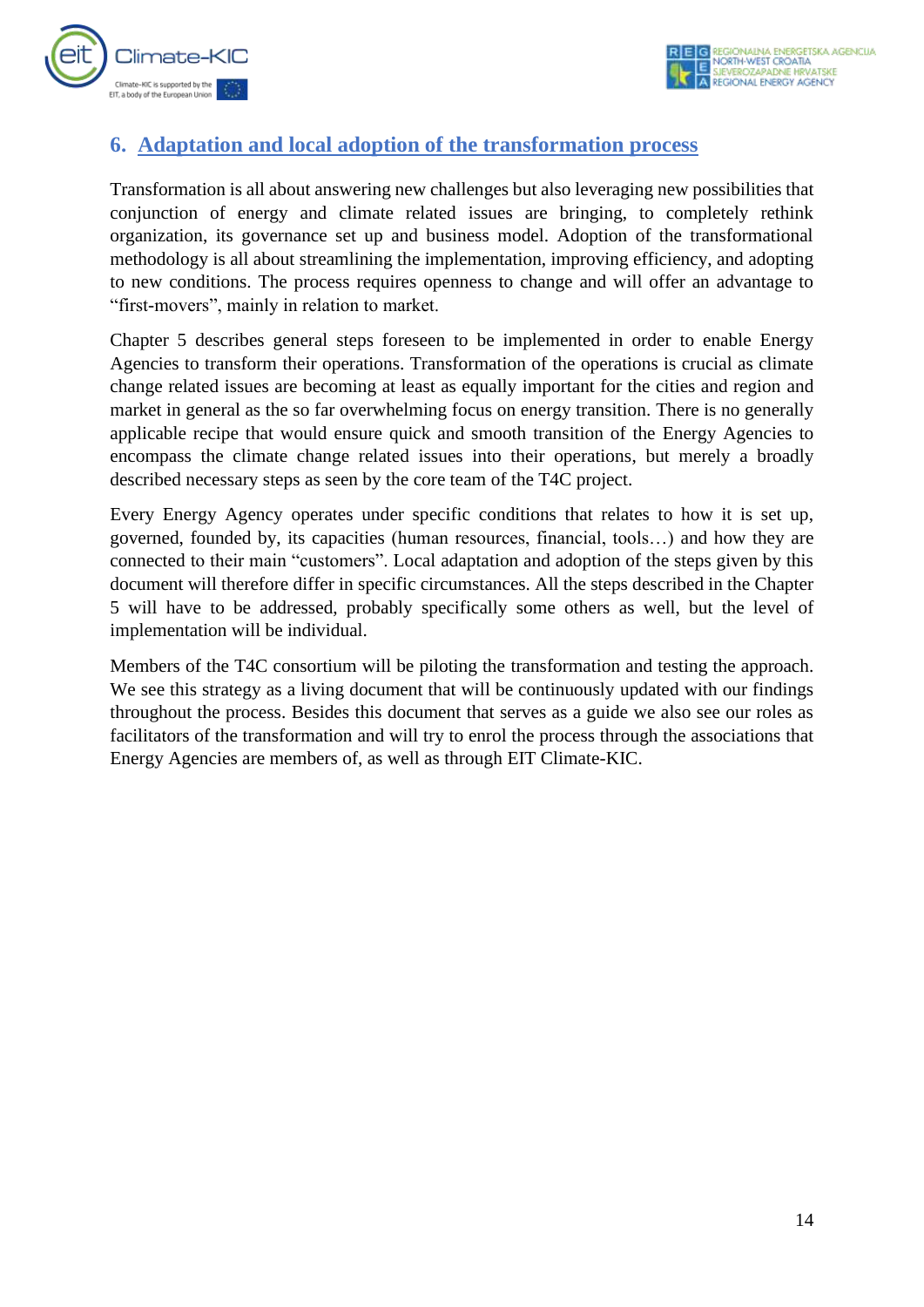

## <span id="page-14-0"></span>**6. Adaptation and local adoption of the transformation process**

Transformation is all about answering new challenges but also leveraging new possibilities that conjunction of energy and climate related issues are bringing, to completely rethink organization, its governance set up and business model. Adoption of the transformational methodology is all about streamlining the implementation, improving efficiency, and adopting to new conditions. The process requires openness to change and will offer an advantage to "first-movers", mainly in relation to market.

Chapter 5 describes general steps foreseen to be implemented in order to enable Energy Agencies to transform their operations. Transformation of the operations is crucial as climate change related issues are becoming at least as equally important for the cities and region and market in general as the so far overwhelming focus on energy transition. There is no generally applicable recipe that would ensure quick and smooth transition of the Energy Agencies to encompass the climate change related issues into their operations, but merely a broadly described necessary steps as seen by the core team of the T4C project.

Every Energy Agency operates under specific conditions that relates to how it is set up, governed, founded by, its capacities (human resources, financial, tools…) and how they are connected to their main "customers". Local adaptation and adoption of the steps given by this document will therefore differ in specific circumstances. All the steps described in the Chapter 5 will have to be addressed, probably specifically some others as well, but the level of implementation will be individual.

Members of the T4C consortium will be piloting the transformation and testing the approach. We see this strategy as a living document that will be continuously updated with our findings throughout the process. Besides this document that serves as a guide we also see our roles as facilitators of the transformation and will try to enrol the process through the associations that Energy Agencies are members of, as well as through EIT Climate-KIC.